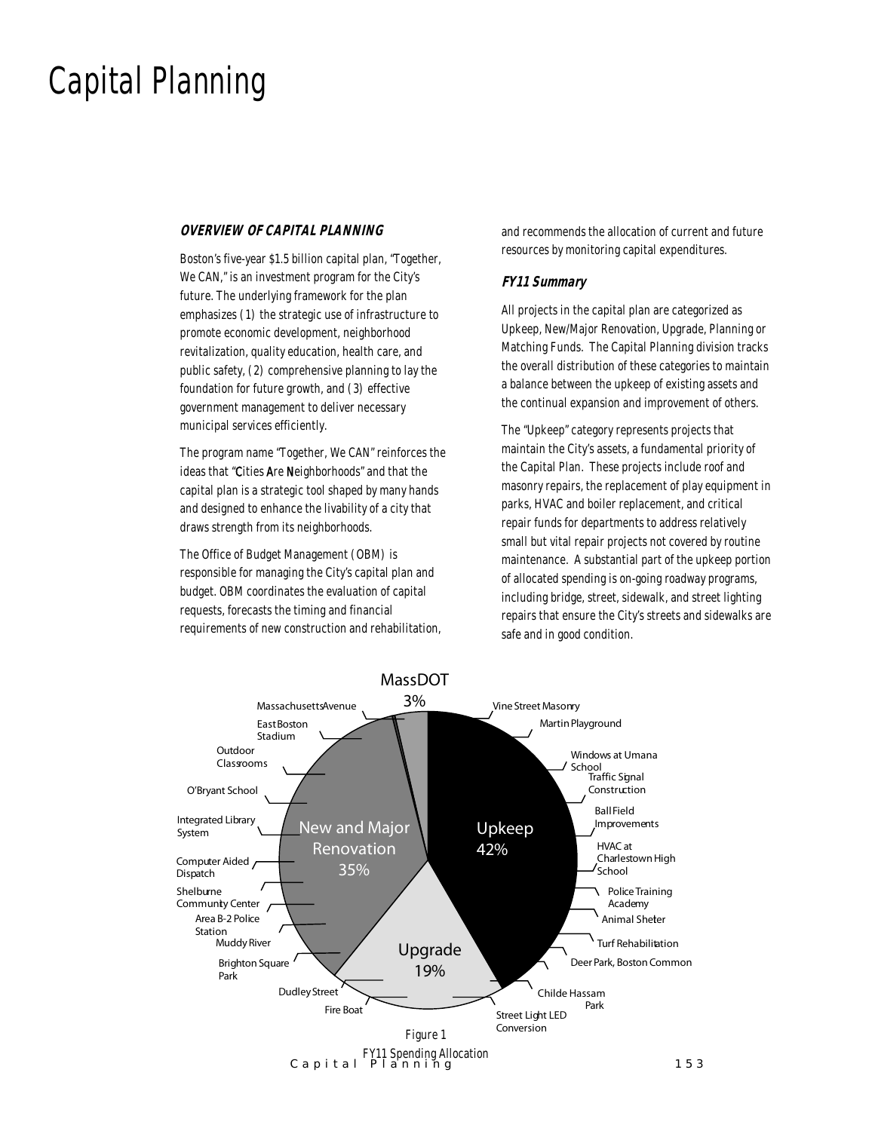### Capital Planning

#### *OVERVIEW OF CAPITAL PLANNING*

Boston's five-year \$1.5 billion capital plan, "Together, We CAN," is an investment program for the City's future. The underlying framework for the plan emphasizes (1) the strategic use of infrastructure to promote economic development, neighborhood revitalization, quality education, health care, and public safety, (2) comprehensive planning to lay the foundation for future growth, and (3) effective government management to deliver necessary municipal services efficiently.

The program name "Together, We CAN" reinforces the ideas that "Cities Are Neighborhoods" and that the capital plan is a strategic tool shaped by many hands and designed to enhance the livability of a city that draws strength from its neighborhoods.

The Office of Budget Management (OBM) is responsible for managing the City's capital plan and budget. OBM coordinates the evaluation of capital requests, forecasts the timing and financial requirements of new construction and rehabilitation, and recommends the allocation of current and future resources by monitoring capital expenditures.

#### *FY11 Summary*

All projects in the capital plan are categorized as Upkeep, New/Major Renovation, Upgrade, Planning or Matching Funds. The Capital Planning division tracks the overall distribution of these categories to maintain a balance between the upkeep of existing assets and the continual expansion and improvement of others.

The "Upkeep" category represents projects that maintain the City's assets, a fundamental priority of the Capital Plan. These projects include roof and masonry repairs, the replacement of play equipment in parks, HVAC and boiler replacement, and critical repair funds for departments to address relatively small but vital repair projects not covered by routine maintenance. A substantial part of the upkeep portion of allocated spending is on-going roadway programs, including bridge, street, sidewalk, and street lighting repairs that ensure the City's streets and sidewalks are safe and in good condition.

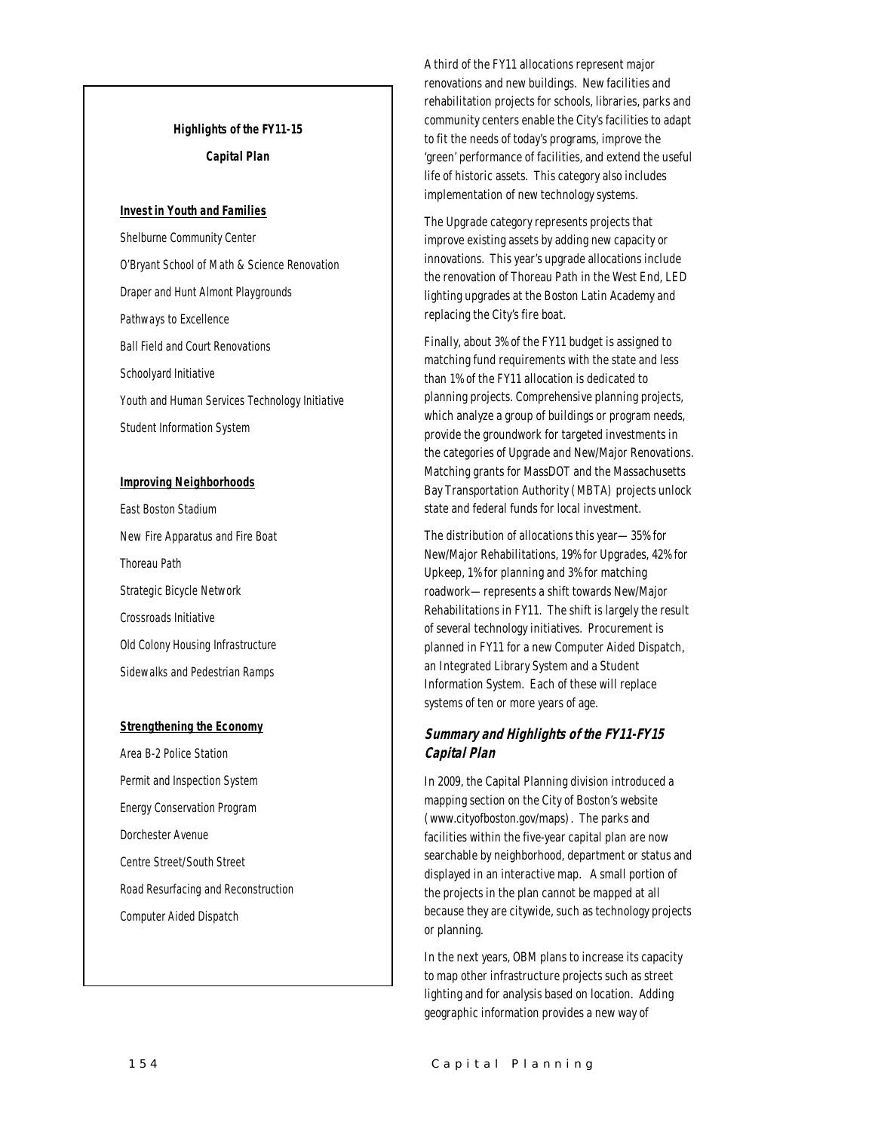#### *Highlights of the FY11-15 Capital Plan*

#### *Invest in Youth and Families*

Shelburne Community Center O'Bryant School of Math & Science Renovation Draper and Hunt Almont Playgrounds Pathways to Excellence Ball Field and Court Renovations Schoolyard Initiative Youth and Human Services Technology Initiative Student Information System

#### *Improving Neighborhoods*

East Boston Stadium New Fire Apparatus and Fire Boat Thoreau Path Strategic Bicycle Network Crossroads Initiative Old Colony Housing Infrastructure Sidewalks and Pedestrian Ramps

#### *Strengthening the Economy*

Area B-2 Police Station Permit and Inspection System Energy Conservation Program Dorchester Avenue Centre Street/South Street Road Resurfacing and Reconstruction Computer Aided Dispatch

A third of the FY11 allocations represent major renovations and new buildings. New facilities and rehabilitation projects for schools, libraries, parks and community centers enable the City's facilities to adapt to fit the needs of today's programs, improve the 'green' performance of facilities, and extend the useful life of historic assets. This category also includes implementation of new technology systems.

The Upgrade category represents projects that improve existing assets by adding new capacity or innovations. This year's upgrade allocations include the renovation of Thoreau Path in the West End, LED lighting upgrades at the Boston Latin Academy and replacing the City's fire boat.

Finally, about 3% of the FY11 budget is assigned to matching fund requirements with the state and less than 1% of the FY11 allocation is dedicated to planning projects. Comprehensive planning projects, which analyze a group of buildings or program needs, provide the groundwork for targeted investments in the categories of Upgrade and New/Major Renovations. Matching grants for MassDOT and the Massachusetts Bay Transportation Authority (MBTA) projects unlock state and federal funds for local investment.

The distribution of allocations this year—35% for New/Major Rehabilitations, 19% for Upgrades, 42% for Upkeep, 1% for planning and 3% for matching roadwork—represents a shift towards New/Major Rehabilitations in FY11. The shift is largely the result of several technology initiatives. Procurement is planned in FY11 for a new Computer Aided Dispatch, an Integrated Library System and a Student Information System. Each of these will replace systems of ten or more years of age.

#### *Summary and Highlights of the FY11-FY15 Capital Plan*

In 2009, the Capital Planning division introduced a mapping section on the City of Boston's website (www.cityofboston.gov/maps). The parks and facilities within the five-year capital plan are now searchable by neighborhood, department or status and displayed in an interactive map. A small portion of the projects in the plan cannot be mapped at all because they are citywide, such as technology projects or planning.

In the next years, OBM plans to increase its capacity to map other infrastructure projects such as street lighting and for analysis based on location. Adding geographic information provides a new way of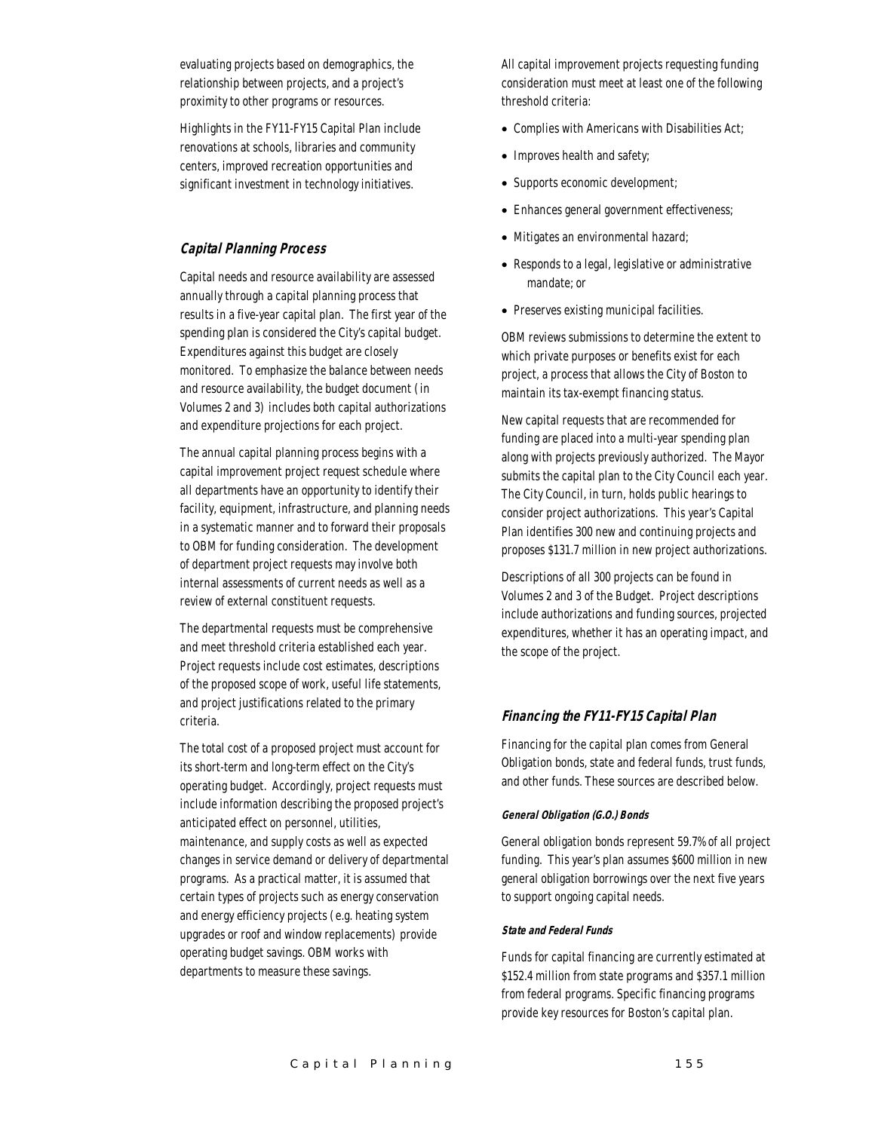evaluating projects based on demographics, the relationship between projects, and a project's proximity to other programs or resources.

Highlights in the FY11-FY15 Capital Plan include renovations at schools, libraries and community centers, improved recreation opportunities and significant investment in technology initiatives.

#### *Capital Planning Process*

Capital needs and resource availability are assessed annually through a capital planning process that results in a five-year capital plan. The first year of the spending plan is considered the City's capital budget. Expenditures against this budget are closely monitored. To emphasize the balance between needs and resource availability, the budget document (in Volumes 2 and 3) includes both capital authorizations and expenditure projections for each project.

The annual capital planning process begins with a capital improvement project request schedule where all departments have an opportunity to identify their facility, equipment, infrastructure, and planning needs in a systematic manner and to forward their proposals to OBM for funding consideration. The development of department project requests may involve both internal assessments of current needs as well as a review of external constituent requests.

The departmental requests must be comprehensive and meet threshold criteria established each year. Project requests include cost estimates, descriptions of the proposed scope of work, useful life statements, and project justifications related to the primary criteria.

The total cost of a proposed project must account for its short-term and long-term effect on the City's operating budget. Accordingly, project requests must include information describing the proposed project's anticipated effect on personnel, utilities, maintenance, and supply costs as well as expected changes in service demand or delivery of departmental programs. As a practical matter, it is assumed that certain types of projects such as energy conservation and energy efficiency projects (e.g. heating system upgrades or roof and window replacements) provide operating budget savings. OBM works with departments to measure these savings.

All capital improvement projects requesting funding consideration must meet at least one of the following threshold criteria:

- Complies with Americans with Disabilities Act;
- Improves health and safety;
- Supports economic development;
- Enhances general government effectiveness;
- Mitigates an environmental hazard;
- Responds to a legal, legislative or administrative mandate; or
- Preserves existing municipal facilities.

OBM reviews submissions to determine the extent to which private purposes or benefits exist for each project, a process that allows the City of Boston to maintain its tax-exempt financing status.

New capital requests that are recommended for funding are placed into a multi-year spending plan along with projects previously authorized. The Mayor submits the capital plan to the City Council each year. The City Council, in turn, holds public hearings to consider project authorizations. This year's Capital Plan identifies 300 new and continuing projects and proposes \$131.7 million in new project authorizations.

Descriptions of all 300 projects can be found in Volumes 2 and 3 of the Budget. Project descriptions include authorizations and funding sources, projected expenditures, whether it has an operating impact, and the scope of the project.

#### *Financing the FY11-FY15 Capital Plan*

Financing for the capital plan comes from General Obligation bonds, state and federal funds, trust funds, and other funds. These sources are described below.

#### *General Obligation (G.O.) Bonds*

General obligation bonds represent 59.7% of all project funding. This year's plan assumes \$600 million in new general obligation borrowings over the next five years to support ongoing capital needs.

#### *State and Federal Funds*

Funds for capital financing are currently estimated at \$152.4 million from state programs and \$357.1 million from federal programs. Specific financing programs provide key resources for Boston's capital plan.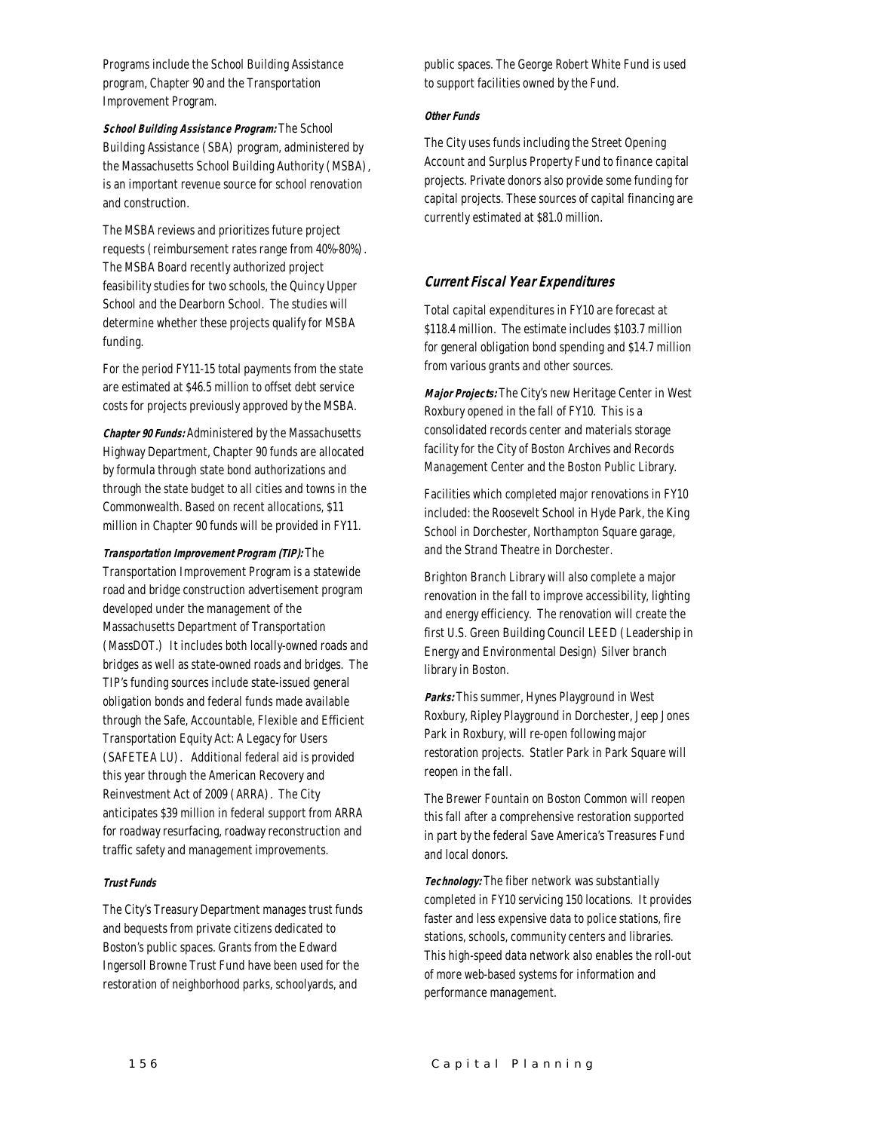Programs include the School Building Assistance program, Chapter 90 and the Transportation Improvement Program.

*School Building Assistance Program:* The School Building Assistance (SBA) program, administered by the Massachusetts School Building Authority (MSBA), is an important revenue source for school renovation and construction.

The MSBA reviews and prioritizes future project requests (reimbursement rates range from 40%-80%). The MSBA Board recently authorized project feasibility studies for two schools, the Quincy Upper School and the Dearborn School. The studies will determine whether these projects qualify for MSBA funding.

For the period FY11-15 total payments from the state are estimated at \$46.5 million to offset debt service costs for projects previously approved by the MSBA.

*Chapter 90 Funds:* Administered by the Massachusetts Highway Department, Chapter 90 funds are allocated by formula through state bond authorizations and through the state budget to all cities and towns in the Commonwealth. Based on recent allocations, \$11 million in Chapter 90 funds will be provided in FY11.

#### *Transportation Improvement Program (TIP):* The

Transportation Improvement Program is a statewide road and bridge construction advertisement program developed under the management of the Massachusetts Department of Transportation (MassDOT.) It includes both locally-owned roads and bridges as well as state-owned roads and bridges. The TIP's funding sources include state-issued general obligation bonds and federal funds made available through the Safe, Accountable, Flexible and Efficient Transportation Equity Act: A Legacy for Users (SAFETEA LU). Additional federal aid is provided this year through the American Recovery and Reinvestment Act of 2009 (ARRA). The City anticipates \$39 million in federal support from ARRA for roadway resurfacing, roadway reconstruction and traffic safety and management improvements.

#### *Trust Funds*

The City's Treasury Department manages trust funds and bequests from private citizens dedicated to Boston's public spaces. Grants from the Edward Ingersoll Browne Trust Fund have been used for the restoration of neighborhood parks, schoolyards, and

public spaces. The George Robert White Fund is used to support facilities owned by the Fund.

#### *Other Funds*

The City uses funds including the Street Opening Account and Surplus Property Fund to finance capital projects. Private donors also provide some funding for capital projects. These sources of capital financing are currently estimated at \$81.0 million.

#### *Current Fiscal Year Expenditures*

Total capital expenditures in FY10 are forecast at \$118.4 million. The estimate includes \$103.7 million for general obligation bond spending and \$14.7 million from various grants and other sources.

*Major Projects:* The City's new Heritage Center in West Roxbury opened in the fall of FY10. This is a consolidated records center and materials storage facility for the City of Boston Archives and Records Management Center and the Boston Public Library.

Facilities which completed major renovations in FY10 included: the Roosevelt School in Hyde Park, the King School in Dorchester, Northampton Square garage, and the Strand Theatre in Dorchester.

Brighton Branch Library will also complete a major renovation in the fall to improve accessibility, lighting and energy efficiency. The renovation will create the first U.S. Green Building Council LEED (Leadership in Energy and Environmental Design) Silver branch library in Boston.

*Parks:* This summer, Hynes Playground in West Roxbury, Ripley Playground in Dorchester, Jeep Jones Park in Roxbury, will re-open following major restoration projects. Statler Park in Park Square will reopen in the fall.

The Brewer Fountain on Boston Common will reopen this fall after a comprehensive restoration supported in part by the federal Save America's Treasures Fund and local donors.

*Technology:* The fiber network was substantially completed in FY10 servicing 150 locations. It provides faster and less expensive data to police stations, fire stations, schools, community centers and libraries. This high-speed data network also enables the roll-out of more web-based systems for information and performance management.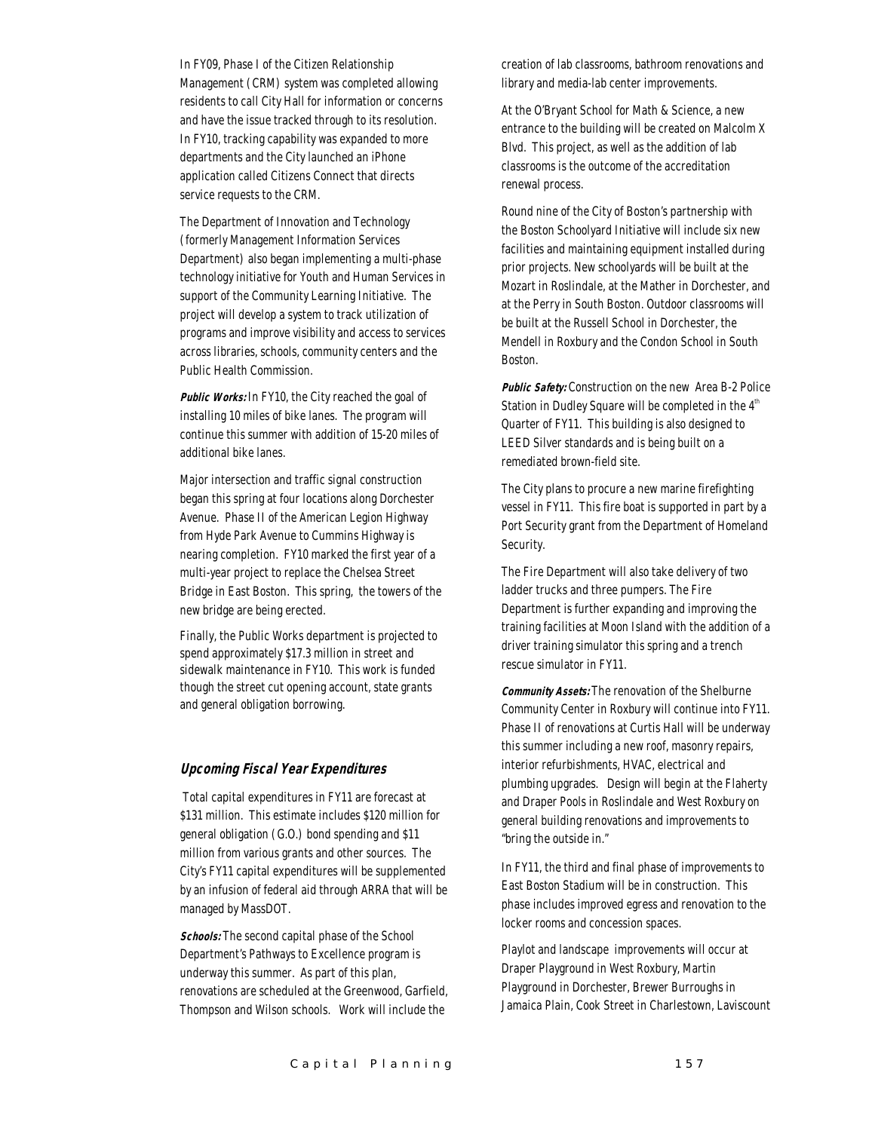In FY09, Phase I of the Citizen Relationship Management (CRM) system was completed allowing residents to call City Hall for information or concerns and have the issue tracked through to its resolution. In FY10, tracking capability was expanded to more departments and the City launched an iPhone application called Citizens Connect that directs service requests to the CRM.

The Department of Innovation and Technology (formerly Management Information Services Department) also began implementing a multi-phase technology initiative for Youth and Human Services in support of the Community Learning Initiative. The project will develop a system to track utilization of programs and improve visibility and access to services across libraries, schools, community centers and the Public Health Commission.

*Public Works:* In FY10, the City reached the goal of installing 10 miles of bike lanes. The program will continue this summer with addition of 15-20 miles of additional bike lanes.

Major intersection and traffic signal construction began this spring at four locations along Dorchester Avenue. Phase II of the American Legion Highway from Hyde Park Avenue to Cummins Highway is nearing completion. FY10 marked the first year of a multi-year project to replace the Chelsea Street Bridge in East Boston. This spring, the towers of the new bridge are being erected.

Finally, the Public Works department is projected to spend approximately \$17.3 million in street and sidewalk maintenance in FY10. This work is funded though the street cut opening account, state grants and general obligation borrowing.

#### *Upcoming Fiscal Year Expenditures*

 Total capital expenditures in FY11 are forecast at \$131 million. This estimate includes \$120 million for general obligation (G.O.) bond spending and \$11 million from various grants and other sources. The City's FY11 capital expenditures will be supplemented by an infusion of federal aid through ARRA that will be managed by MassDOT.

*Schools:* The second capital phase of the School Department's Pathways to Excellence program is underway this summer. As part of this plan, renovations are scheduled at the Greenwood, Garfield, Thompson and Wilson schools. Work will include the

creation of lab classrooms, bathroom renovations and library and media-lab center improvements.

At the O'Bryant School for Math & Science, a new entrance to the building will be created on Malcolm X Blvd. This project, as well as the addition of lab classrooms is the outcome of the accreditation renewal process.

Round nine of the City of Boston's partnership with the Boston Schoolyard Initiative will include six new facilities and maintaining equipment installed during prior projects. New schoolyards will be built at the Mozart in Roslindale, at the Mather in Dorchester, and at the Perry in South Boston. Outdoor classrooms will be built at the Russell School in Dorchester, the Mendell in Roxbury and the Condon School in South Boston.

*Public Safety:* Construction on the new Area B-2 Police Station in Dudley Square will be completed in the  $4<sup>th</sup>$ Quarter of FY11. This building is also designed to LEED Silver standards and is being built on a remediated brown-field site.

The City plans to procure a new marine firefighting vessel in FY11. This fire boat is supported in part by a Port Security grant from the Department of Homeland Security.

The Fire Department will also take delivery of two ladder trucks and three pumpers. The Fire Department is further expanding and improving the training facilities at Moon Island with the addition of a driver training simulator this spring and a trench rescue simulator in FY11.

*Community Assets:* The renovation of the Shelburne Community Center in Roxbury will continue into FY11. Phase II of renovations at Curtis Hall will be underway this summer including a new roof, masonry repairs, interior refurbishments, HVAC, electrical and plumbing upgrades. Design will begin at the Flaherty and Draper Pools in Roslindale and West Roxbury on general building renovations and improvements to "bring the outside in."

In FY11, the third and final phase of improvements to East Boston Stadium will be in construction. This phase includes improved egress and renovation to the locker rooms and concession spaces.

Playlot and landscape improvements will occur at Draper Playground in West Roxbury, Martin Playground in Dorchester, Brewer Burroughs in Jamaica Plain, Cook Street in Charlestown, Laviscount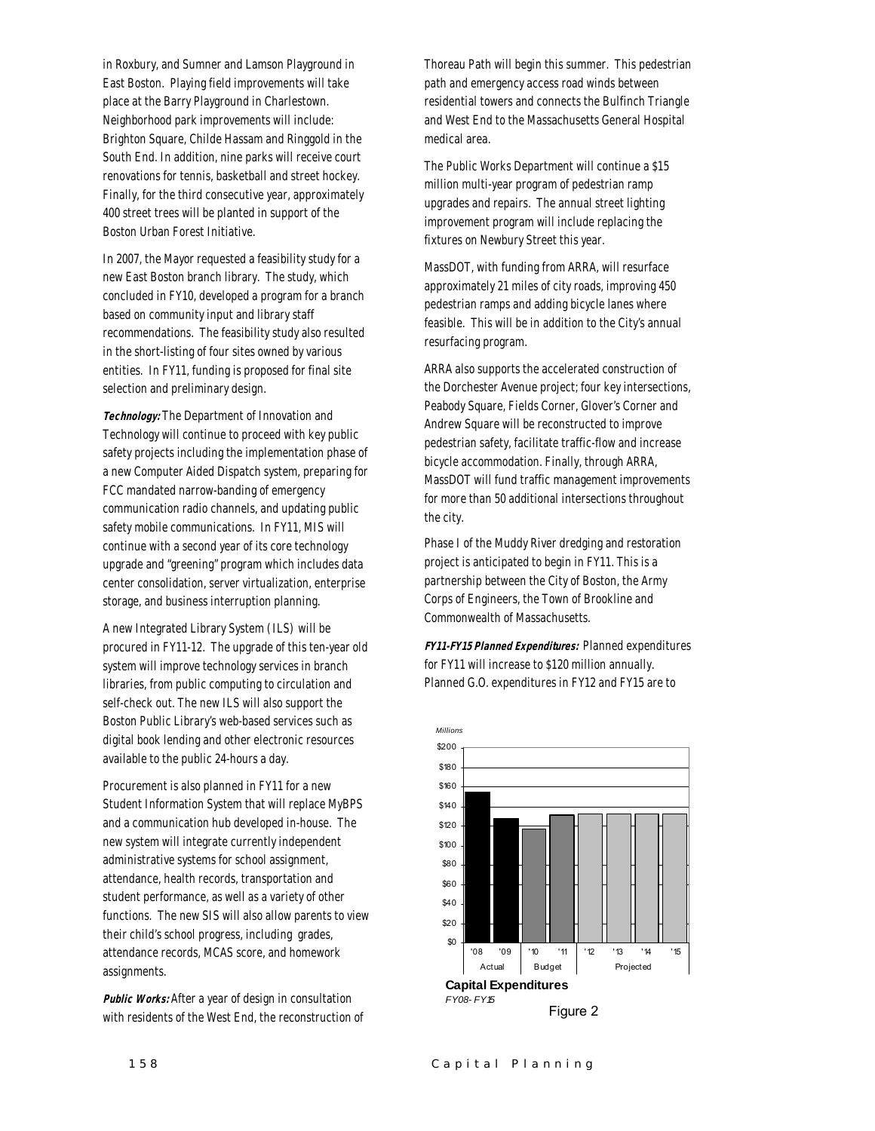in Roxbury, and Sumner and Lamson Playground in East Boston. Playing field improvements will take place at the Barry Playground in Charlestown. Neighborhood park improvements will include: Brighton Square, Childe Hassam and Ringgold in the South End. In addition, nine parks will receive court renovations for tennis, basketball and street hockey. Finally, for the third consecutive year, approximately 400 street trees will be planted in support of the Boston Urban Forest Initiative.

In 2007, the Mayor requested a feasibility study for a new East Boston branch library. The study, which concluded in FY10, developed a program for a branch based on community input and library staff recommendations. The feasibility study also resulted in the short-listing of four sites owned by various entities. In FY11, funding is proposed for final site selection and preliminary design.

*Technology:* The Department of Innovation and Technology will continue to proceed with key public safety projects including the implementation phase of a new Computer Aided Dispatch system, preparing for FCC mandated narrow-banding of emergency communication radio channels, and updating public safety mobile communications. In FY11, MIS will continue with a second year of its core technology upgrade and "greening" program which includes data center consolidation, server virtualization, enterprise storage, and business interruption planning.

A new Integrated Library System (ILS) will be procured in FY11-12. The upgrade of this ten-year old system will improve technology services in branch libraries, from public computing to circulation and self-check out. The new ILS will also support the Boston Public Library's web-based services such as digital book lending and other electronic resources available to the public 24-hours a day.

Procurement is also planned in FY11 for a new Student Information System that will replace MyBPS and a communication hub developed in-house. The new system will integrate currently independent administrative systems for school assignment, attendance, health records, transportation and student performance, as well as a variety of other functions. The new SIS will also allow parents to view their child's school progress, including grades, attendance records, MCAS score, and homework assignments.

*Public Works:* After a year of design in consultation with residents of the West End, the reconstruction of Thoreau Path will begin this summer. This pedestrian path and emergency access road winds between residential towers and connects the Bulfinch Triangle and West End to the Massachusetts General Hospital medical area.

The Public Works Department will continue a \$15 million multi-year program of pedestrian ramp upgrades and repairs. The annual street lighting improvement program will include replacing the fixtures on Newbury Street this year.

MassDOT, with funding from ARRA, will resurface approximately 21 miles of city roads, improving 450 pedestrian ramps and adding bicycle lanes where feasible. This will be in addition to the City's annual resurfacing program.

ARRA also supports the accelerated construction of the Dorchester Avenue project; four key intersections, Peabody Square, Fields Corner, Glover's Corner and Andrew Square will be reconstructed to improve pedestrian safety, facilitate traffic-flow and increase bicycle accommodation. Finally, through ARRA, MassDOT will fund traffic management improvements for more than 50 additional intersections throughout the city.

Phase I of the Muddy River dredging and restoration project is anticipated to begin in FY11. This is a partnership between the City of Boston, the Army Corps of Engineers, the Town of Brookline and Commonwealth of Massachusetts.

*FY11-FY15 Planned Expenditures:* Planned expenditures for FY11 will increase to \$120 million annually. Planned G.O. expenditures in FY12 and FY15 are to

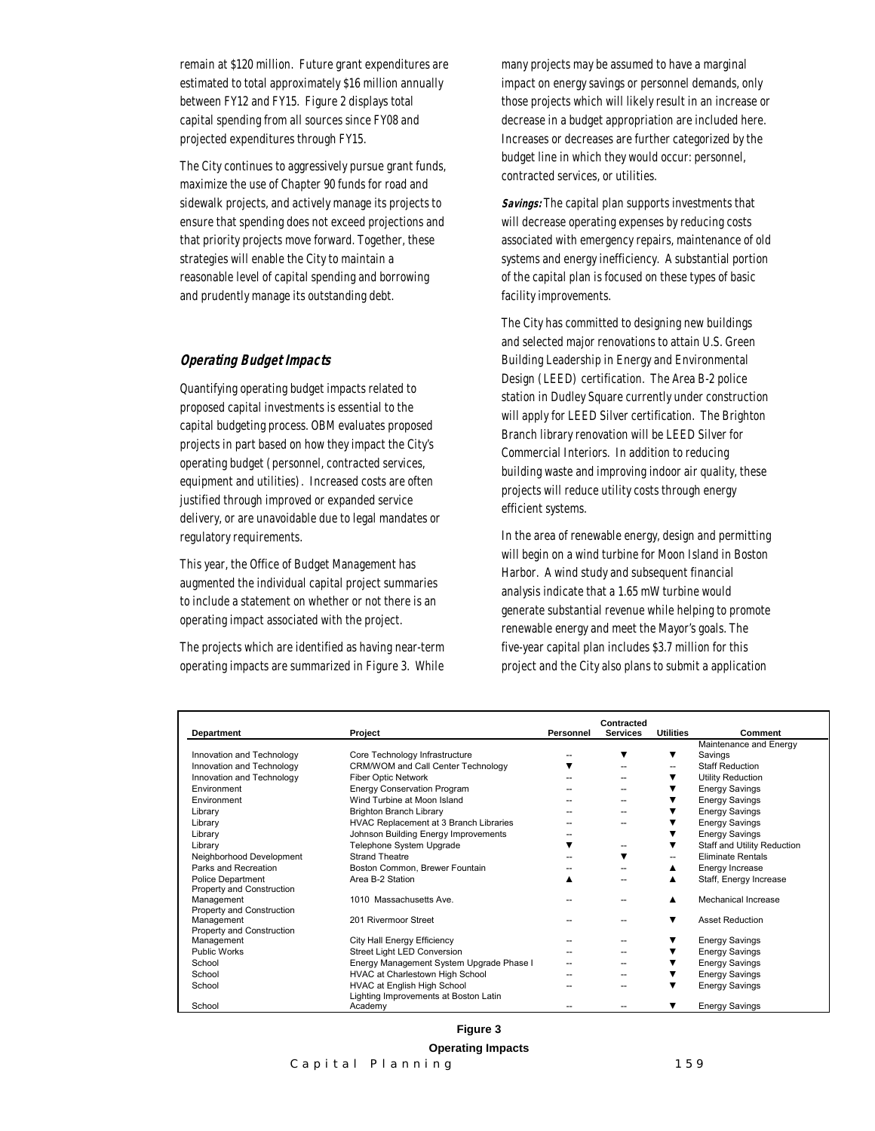remain at \$120 million. Future grant expenditures are estimated to total approximately \$16 million annually between FY12 and FY15. Figure 2 displays total capital spending from all sources since FY08 and projected expenditures through FY15.

The City continues to aggressively pursue grant funds, maximize the use of Chapter 90 funds for road and sidewalk projects, and actively manage its projects to ensure that spending does not exceed projections and that priority projects move forward. Together, these strategies will enable the City to maintain a reasonable level of capital spending and borrowing and prudently manage its outstanding debt.

#### *Operating Budget Impacts*

Quantifying operating budget impacts related to proposed capital investments is essential to the capital budgeting process. OBM evaluates proposed projects in part based on how they impact the City's operating budget (personnel, contracted services, equipment and utilities). Increased costs are often justified through improved or expanded service delivery, or are unavoidable due to legal mandates or regulatory requirements.

This year, the Office of Budget Management has augmented the individual capital project summaries to include a statement on whether or not there is an operating impact associated with the project.

The projects which are identified as having near-term operating impacts are summarized in Figure 3. While many projects may be assumed to have a marginal impact on energy savings or personnel demands, only those projects which will likely result in an increase or decrease in a budget appropriation are included here. Increases or decreases are further categorized by the budget line in which they would occur: personnel, contracted services, or utilities.

*Savings:* The capital plan supports investments that will decrease operating expenses by reducing costs associated with emergency repairs, maintenance of old systems and energy inefficiency. A substantial portion of the capital plan is focused on these types of basic facility improvements.

The City has committed to designing new buildings and selected major renovations to attain U.S. Green Building Leadership in Energy and Environmental Design (LEED) certification. The Area B-2 police station in Dudley Square currently under construction will apply for LEED Silver certification. The Brighton Branch library renovation will be LEED Silver for Commercial Interiors. In addition to reducing building waste and improving indoor air quality, these projects will reduce utility costs through energy efficient systems.

In the area of renewable energy, design and permitting will begin on a wind turbine for Moon Island in Boston Harbor. A wind study and subsequent financial analysis indicate that a 1.65 mW turbine would generate substantial revenue while helping to promote renewable energy and meet the Mayor's goals. The five-year capital plan includes \$3.7 million for this project and the City also plans to submit a application

| Department                | Project                                                              | Personnel                | Contracted<br><b>Services</b> | <b>Utilities</b> | Comment                     |
|---------------------------|----------------------------------------------------------------------|--------------------------|-------------------------------|------------------|-----------------------------|
|                           |                                                                      |                          |                               |                  | Maintenance and Energy      |
| Innovation and Technology | Core Technology Infrastructure                                       |                          | ▼                             | ▼                | Savings                     |
| Innovation and Technology | CRM/WOM and Call Center Technology                                   |                          | --                            | --               | <b>Staff Reduction</b>      |
| Innovation and Technology | Fiber Optic Network                                                  |                          |                               |                  | Utility Reduction           |
| Environment               | <b>Energy Conservation Program</b>                                   |                          | --                            |                  | <b>Energy Savings</b>       |
| Environment               | Wind Turbine at Moon Island                                          |                          | --                            |                  | <b>Energy Savings</b>       |
| Library                   | <b>Brighton Branch Library</b>                                       |                          |                               |                  | <b>Energy Savings</b>       |
| Library                   | HVAC Replacement at 3 Branch Libraries                               |                          | --                            |                  | <b>Energy Savings</b>       |
| Library                   | Johnson Building Energy Improvements                                 |                          |                               |                  | <b>Energy Savings</b>       |
| Library                   | Telephone System Upgrade                                             | ▼                        | --                            |                  | Staff and Utility Reduction |
| Neighborhood Development  | <b>Strand Theatre</b>                                                |                          | ▼                             | --               | <b>Eliminate Rentals</b>    |
| Parks and Recreation      | Boston Common, Brewer Fountain                                       |                          |                               |                  | Energy Increase             |
| <b>Police Department</b>  | Area B-2 Station                                                     |                          |                               |                  | Staff, Energy Increase      |
| Property and Construction |                                                                      |                          |                               |                  |                             |
| Management                | 1010 Massachusetts Ave.                                              |                          | --                            |                  | Mechanical Increase         |
| Property and Construction |                                                                      |                          |                               |                  |                             |
| Management                | 201 Rivermoor Street                                                 |                          | --                            | ▼                | <b>Asset Reduction</b>      |
| Property and Construction |                                                                      |                          |                               |                  |                             |
| Management                | City Hall Energy Efficiency                                          |                          | --                            |                  | <b>Energy Savings</b>       |
| <b>Public Works</b>       | Street Light LED Conversion                                          | $\overline{\phantom{a}}$ | --                            |                  | <b>Energy Savings</b>       |
| School                    | Energy Management System Upgrade Phase I                             |                          |                               |                  | <b>Energy Savings</b>       |
| School                    | HVAC at Charlestown High School                                      |                          |                               |                  | <b>Energy Savings</b>       |
| School                    | HVAC at English High School<br>Lighting Improvements at Boston Latin |                          |                               |                  | <b>Energy Savings</b>       |
| School                    | Academy                                                              |                          |                               | ▼                | <b>Energy Savings</b>       |

#### **Figure 3**

**Operating Impacts**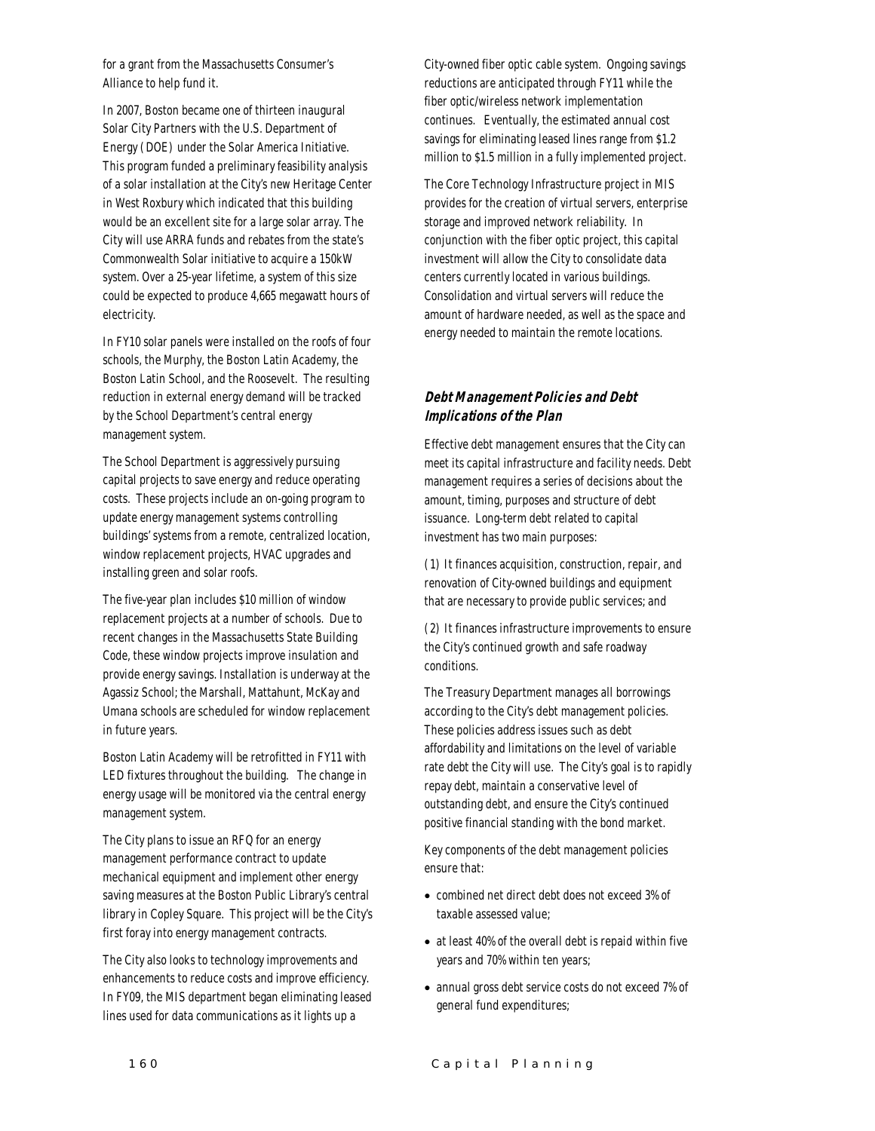for a grant from the Massachusetts Consumer's Alliance to help fund it.

In 2007, Boston became one of thirteen inaugural Solar City Partners with the U.S. Department of Energy (DOE) under the Solar America Initiative. This program funded a preliminary feasibility analysis of a solar installation at the City's new Heritage Center in West Roxbury which indicated that this building would be an excellent site for a large solar array. The City will use ARRA funds and rebates from the state's Commonwealth Solar initiative to acquire a 150kW system. Over a 25-year lifetime, a system of this size could be expected to produce 4,665 megawatt hours of electricity.

In FY10 solar panels were installed on the roofs of four schools, the Murphy, the Boston Latin Academy, the Boston Latin School, and the Roosevelt. The resulting reduction in external energy demand will be tracked by the School Department's central energy management system.

The School Department is aggressively pursuing capital projects to save energy and reduce operating costs. These projects include an on-going program to update energy management systems controlling buildings' systems from a remote, centralized location, window replacement projects, HVAC upgrades and installing green and solar roofs.

The five-year plan includes \$10 million of window replacement projects at a number of schools. Due to recent changes in the Massachusetts State Building Code, these window projects improve insulation and provide energy savings. Installation is underway at the Agassiz School; the Marshall, Mattahunt, McKay and Umana schools are scheduled for window replacement in future years.

Boston Latin Academy will be retrofitted in FY11 with LED fixtures throughout the building. The change in energy usage will be monitored via the central energy management system.

The City plans to issue an RFQ for an energy management performance contract to update mechanical equipment and implement other energy saving measures at the Boston Public Library's central library in Copley Square. This project will be the City's first foray into energy management contracts.

The City also looks to technology improvements and enhancements to reduce costs and improve efficiency. In FY09, the MIS department began eliminating leased lines used for data communications as it lights up a

City-owned fiber optic cable system. Ongoing savings reductions are anticipated through FY11 while the fiber optic/wireless network implementation continues. Eventually, the estimated annual cost savings for eliminating leased lines range from \$1.2 million to \$1.5 million in a fully implemented project.

The Core Technology Infrastructure project in MIS provides for the creation of virtual servers, enterprise storage and improved network reliability. In conjunction with the fiber optic project, this capital investment will allow the City to consolidate data centers currently located in various buildings. Consolidation and virtual servers will reduce the amount of hardware needed, as well as the space and energy needed to maintain the remote locations.

#### *Debt Management Policies and Debt Implications of the Plan*

Effective debt management ensures that the City can meet its capital infrastructure and facility needs. Debt management requires a series of decisions about the amount, timing, purposes and structure of debt issuance. Long-term debt related to capital investment has two main purposes:

(1) It finances acquisition, construction, repair, and renovation of City-owned buildings and equipment that are necessary to provide public services; and

(2) It finances infrastructure improvements to ensure the City's continued growth and safe roadway conditions.

The Treasury Department manages all borrowings according to the City's debt management policies. These policies address issues such as debt affordability and limitations on the level of variable rate debt the City will use. The City's goal is to rapidly repay debt, maintain a conservative level of outstanding debt, and ensure the City's continued positive financial standing with the bond market.

Key components of the debt management policies ensure that:

- combined net direct debt does not exceed 3% of taxable assessed value;
- at least 40% of the overall debt is repaid within five years and 70% within ten years;
- annual gross debt service costs do not exceed 7% of general fund expenditures;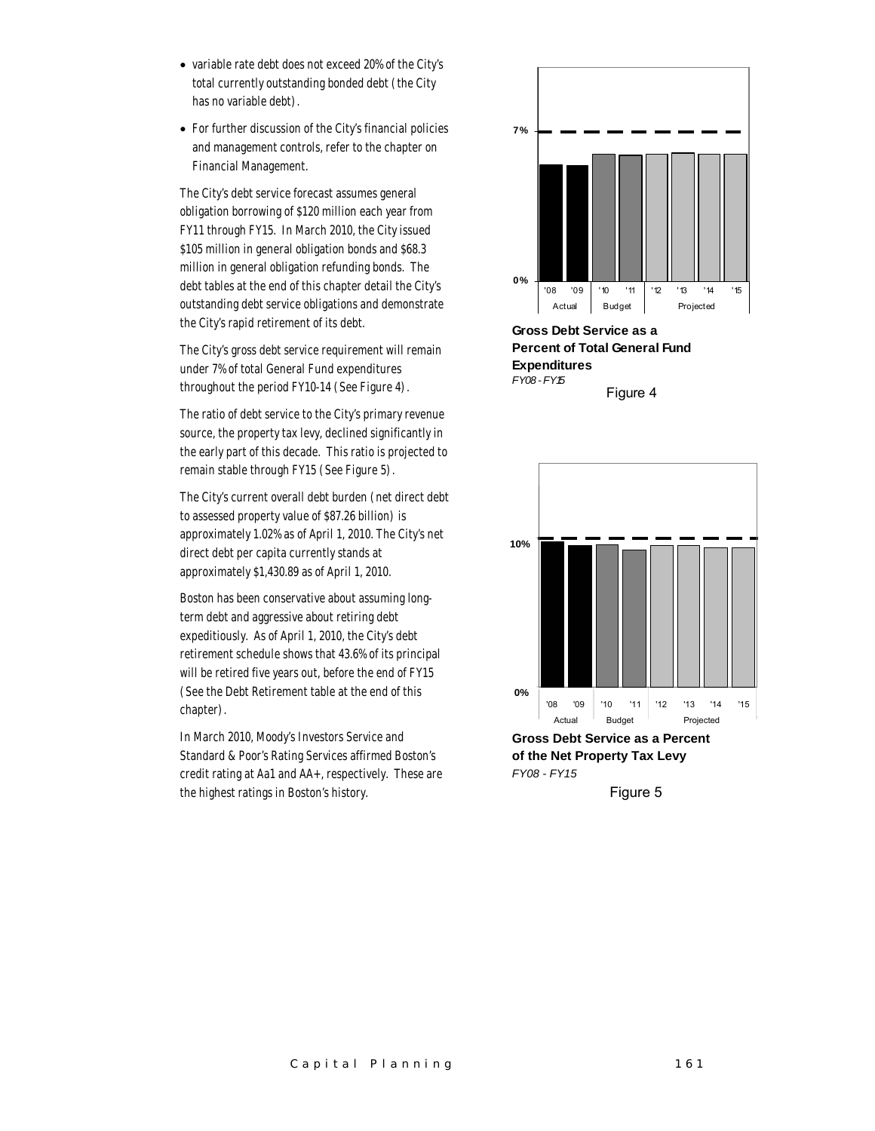- variable rate debt does not exceed 20% of the City's total currently outstanding bonded debt (the City has no variable debt).
- For further discussion of the City's financial policies and management controls, refer to the chapter on Financial Management.

The City's debt service forecast assumes general obligation borrowing of \$120 million each year from FY11 through FY15. In March 2010, the City issued \$105 million in general obligation bonds and \$68.3 million in general obligation refunding bonds. The debt tables at the end of this chapter detail the City's outstanding debt service obligations and demonstrate the City's rapid retirement of its debt.

The City's gross debt service requirement will remain under 7% of total General Fund expenditures throughout the period FY10-14 (See Figure 4).

The ratio of debt service to the City's primary revenue source, the property tax levy, declined significantly in the early part of this decade. This ratio is projected to remain stable through FY15 (See Figure 5).

The City's current overall debt burden (net direct debt to assessed property value of \$87.26 billion) is approximately 1.02% as of April 1, 2010. The City's net direct debt per capita currently stands at approximately \$1,430.89 as of April 1, 2010.

Boston has been conservative about assuming longterm debt and aggressive about retiring debt expeditiously. As of April 1, 2010, the City's debt retirement schedule shows that 43.6% of its principal will be retired five years out, before the end of FY15 (See the Debt Retirement table at the end of this chapter).

In March 2010, Moody's Investors Service and Standard & Poor's Rating Services affirmed Boston's credit rating at Aa1 and AA+, respectively. These are the highest ratings in Boston's history.



**Gross Debt Service as a Percent of Total General Fund Expenditures** *FY08 - FY15* Figure 4



Figure 5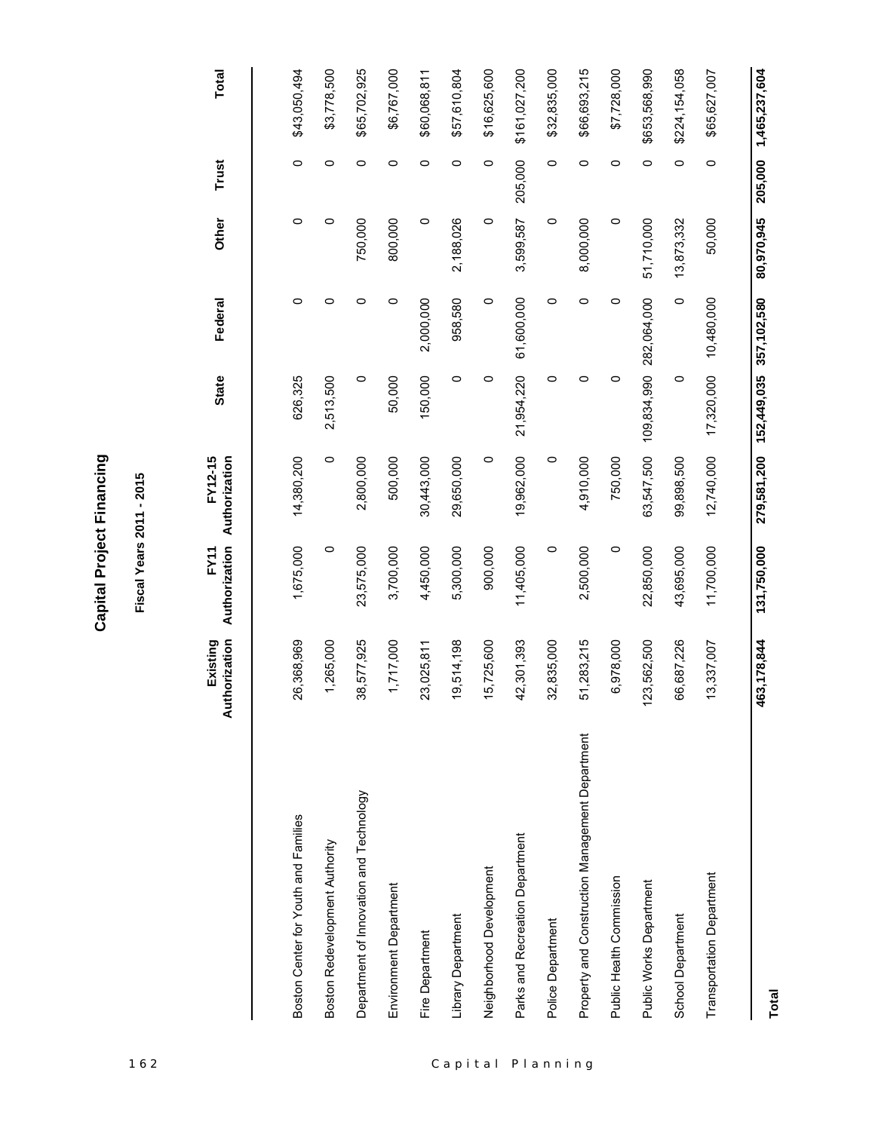**Capital Project Financing Capital Project Financing**

| 162      |                                                 |                           | Fiscal Years 2011 - 2015 |                          |                         |             |            |         |               |
|----------|-------------------------------------------------|---------------------------|--------------------------|--------------------------|-------------------------|-------------|------------|---------|---------------|
|          |                                                 | Authorization<br>Existing | Authorization<br>FY11    | Authorization<br>FY12-15 | <b>State</b>            | Federal     | Other      | Trust   | <b>Total</b>  |
|          | Boston Center for Youth and Families            | 26,368,969                | 1,675,000                | 14,380,200               | 626,325                 | $\circ$     | $\circ$    | $\circ$ | \$43,050,494  |
|          | Boston Redevelopment Authority                  | 1,265,000                 | $\circ$                  | $\circ$                  | 2,513,500               | 0           | 0          | $\circ$ | \$3,778,500   |
|          | Department of Innovation and Technology         | 38,577,925                | 23,575,000               | 2,800,000                | $\circ$                 | $\circ$     | 750,000    | $\circ$ | \$65,702,925  |
|          | Environment Department                          | 1,717,000                 | 3,700,000                | 500,000                  | 50,000                  | 0           | 800,000    | $\circ$ | \$6,767,000   |
|          | Fire Department                                 | 23,025,811                | 4,450,000                | 30,443,000               | 150,000                 | 2,000,000   | $\circ$    | $\circ$ | \$60,068,811  |
| Capital  | Library Department                              | 19,514,198                | 5,300,000                | 29,650,000               | $\circ$                 | 958,580     | 2,188,026  | $\circ$ | \$57,610,804  |
|          | Neighborhood Development                        | 15,725,600                | 900,000                  | $\circ$                  | $\circ$                 | $\circ$     | $\circ$    | $\circ$ | \$16,625,600  |
|          | Parks and Recreation Department                 | 42,301,393                | 11,405,000               | 19,962,000               | 21,954,220              | 61,600,000  | 3,599,587  | 205,000 | \$161,027,200 |
| Planning | Police Department                               | 32,835,000                | $\circ$                  | $\circ$                  | 0                       | 0           | $\circ$    | $\circ$ | \$32,835,000  |
|          | Property and Construction Management Department | 51,283,215                | 2,500,000                | 4,910,000                | $\circ$                 | $\circ$     | 8,000,000  | $\circ$ | \$66,693,215  |
|          | Public Health Commission                        | 6,978,000                 | $\circ$                  | 750,000                  | 0                       | $\circ$     | $\circ$    | $\circ$ | \$7,728,000   |
|          | Public Works Department                         | 123,562,500               | 22,850,000               | 63,547,500               | 109,834,990 282,064,000 |             | 51,710,000 | $\circ$ | \$653,568,990 |
|          | School Department                               | 66,687,226                | 43,695,000               | 99,898,500               | $\circ$                 | $\circ$     | 13,873,332 | $\circ$ | \$224,154,058 |
|          | <b>Transportation Department</b>                | 13,337,007                | 11,700,000               | 12,740,000               | 17,320,000              | 10,480,000  | 50,000     | $\circ$ | \$65,627,007  |
|          |                                                 | 463,178,844               | 131,750,000              | 279,581,200              | 152,449,035             | 357,102,580 | 80,970,945 | 205,000 | 1,465,237,604 |

**Total**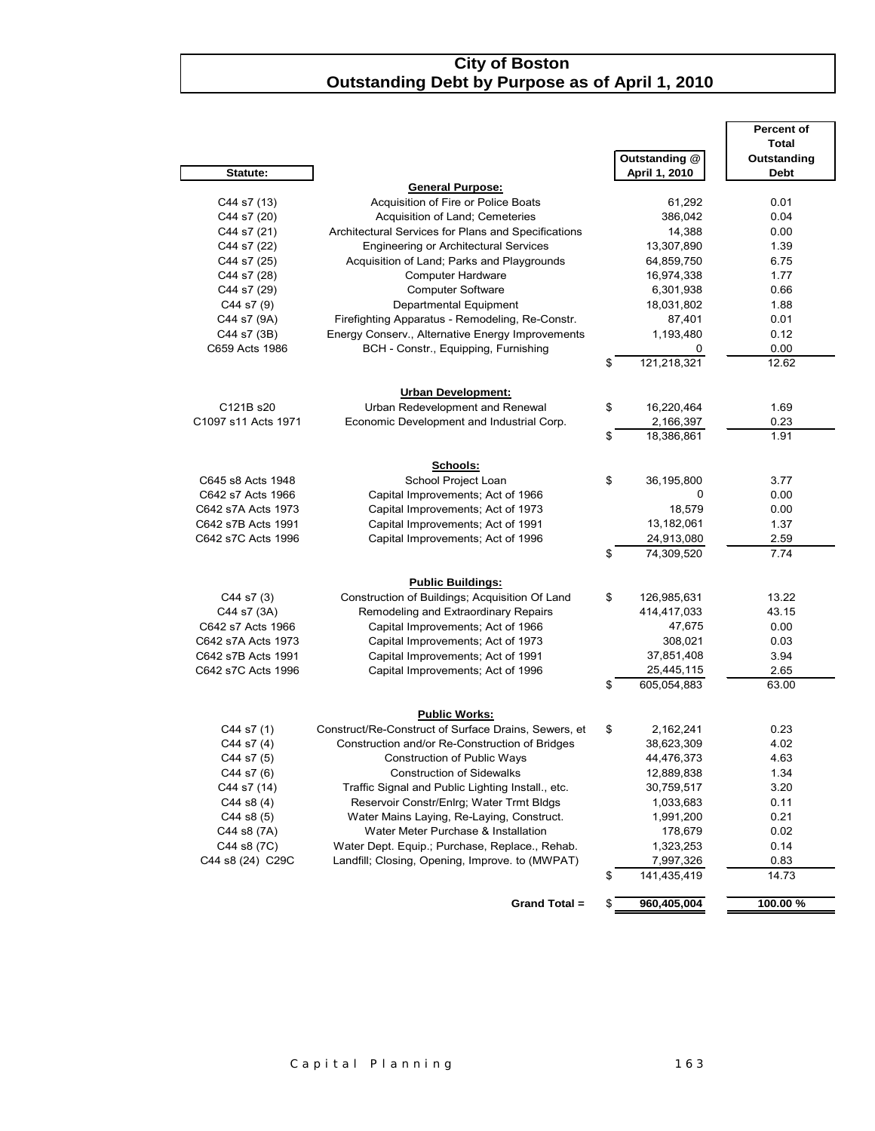#### *City of Boston* **Outstanding Debt by Purpose as of April 1, 2010**

|                     |                                                       |                               | <b>Percent of</b> |
|---------------------|-------------------------------------------------------|-------------------------------|-------------------|
|                     |                                                       |                               | <b>Total</b>      |
|                     |                                                       | <b>Outstanding @</b>          | Outstanding       |
| Statute:            |                                                       | April 1, 2010                 | <b>Debt</b>       |
|                     | <b>General Purpose:</b>                               |                               |                   |
| C44 s7 (13)         | Acquisition of Fire or Police Boats                   | 61,292                        | 0.01              |
| C44 s7 (20)         | Acquisition of Land; Cemeteries                       | 386,042                       | 0.04              |
| C44 s7 (21)         | Architectural Services for Plans and Specifications   | 14,388                        | 0.00              |
| C44 s7 (22)         | <b>Engineering or Architectural Services</b>          | 13,307,890                    | 1.39              |
| C44 s7 (25)         | Acquisition of Land; Parks and Playgrounds            | 64,859,750                    | 6.75              |
| C44 s7 (28)         | <b>Computer Hardware</b>                              | 16,974,338                    | 1.77              |
| C44 s7 (29)         | <b>Computer Software</b>                              | 6,301,938                     | 0.66              |
| C44 s7 (9)          | Departmental Equipment                                | 18,031,802                    | 1.88              |
| C44 s7 (9A)         | Firefighting Apparatus - Remodeling, Re-Constr.       | 87,401                        | 0.01              |
| C44 s7 (3B)         | Energy Conserv., Alternative Energy Improvements      | 1,193,480                     | 0.12              |
| C659 Acts 1986      | BCH - Constr., Equipping, Furnishing                  | 0                             | 0.00              |
|                     |                                                       | \$<br>121,218,321             | 12.62             |
|                     |                                                       |                               |                   |
| C121B s20           | Urban Development:<br>Urban Redevelopment and Renewal |                               |                   |
| C1097 s11 Acts 1971 | Economic Development and Industrial Corp.             | \$<br>16,220,464<br>2,166,397 | 1.69<br>0.23      |
|                     |                                                       | \$<br>18,386,861              | 1.91              |
|                     |                                                       |                               |                   |
|                     | Schools:                                              |                               |                   |
| C645 s8 Acts 1948   | School Project Loan                                   | \$<br>36,195,800              | 3.77              |
| C642 s7 Acts 1966   | Capital Improvements; Act of 1966                     | 0                             | 0.00              |
| C642 s7A Acts 1973  | Capital Improvements; Act of 1973                     | 18,579                        | 0.00              |
| C642 s7B Acts 1991  | Capital Improvements; Act of 1991                     | 13,182,061                    | 1.37              |
| C642 s7C Acts 1996  | Capital Improvements; Act of 1996                     | 24,913,080                    | 2.59              |
|                     |                                                       | \$<br>74,309,520              | 7.74              |
|                     |                                                       |                               |                   |
|                     | <b>Public Buildings:</b>                              |                               |                   |
| C44 s7 (3)          | Construction of Buildings; Acquisition Of Land        | \$<br>126,985,631             | 13.22             |
| C44 s7 (3A)         | Remodeling and Extraordinary Repairs                  | 414,417,033                   | 43.15             |
| C642 s7 Acts 1966   | Capital Improvements; Act of 1966                     | 47,675                        | 0.00              |
| C642 s7A Acts 1973  | Capital Improvements; Act of 1973                     | 308,021                       | 0.03              |
| C642 s7B Acts 1991  | Capital Improvements; Act of 1991                     | 37,851,408                    | 3.94              |
| C642 s7C Acts 1996  | Capital Improvements; Act of 1996                     | 25,445,115                    | 2.65              |
|                     |                                                       | \$<br>605,054,883             | 63.00             |
|                     |                                                       |                               |                   |
|                     | <b>Public Works:</b>                                  |                               |                   |
| C44 s7 (1)          | Construct/Re-Construct of Surface Drains, Sewers, et  | \$<br>2,162,241               | 0.23              |
| C44 s7 (4)          | Construction and/or Re-Construction of Bridges        | 38,623,309                    | 4.02              |
| C44 s7 (5)          | <b>Construction of Public Ways</b>                    | 44,476,373                    | 4.63              |
| C44 s7 (6)          | <b>Construction of Sidewalks</b>                      | 12,889,838                    | 1.34              |
| C44 s7 (14)         | Traffic Signal and Public Lighting Install., etc.     | 30,759,517                    | 3.20              |
| $C44$ s8 $(4)$      | Reservoir Constr/Enlrg; Water Trmt Bldgs              | 1,033,683                     | 0.11              |
| $C44$ s8 $(5)$      | Water Mains Laying, Re-Laying, Construct.             | 1,991,200                     | 0.21              |
| C44 s8 (7A)         | Water Meter Purchase & Installation                   | 178,679                       | 0.02              |
| C44 s8 (7C)         | Water Dept. Equip.; Purchase, Replace., Rehab.        | 1,323,253                     | 0.14              |
| C44 s8 (24) C29C    | Landfill; Closing, Opening, Improve. to (MWPAT)       | 7,997,326                     | 0.83              |
|                     |                                                       | \$<br>141,435,419             | 14.73             |
|                     |                                                       |                               |                   |
|                     | Grand Total =                                         | \$<br>960,405,004             | 100.00%           |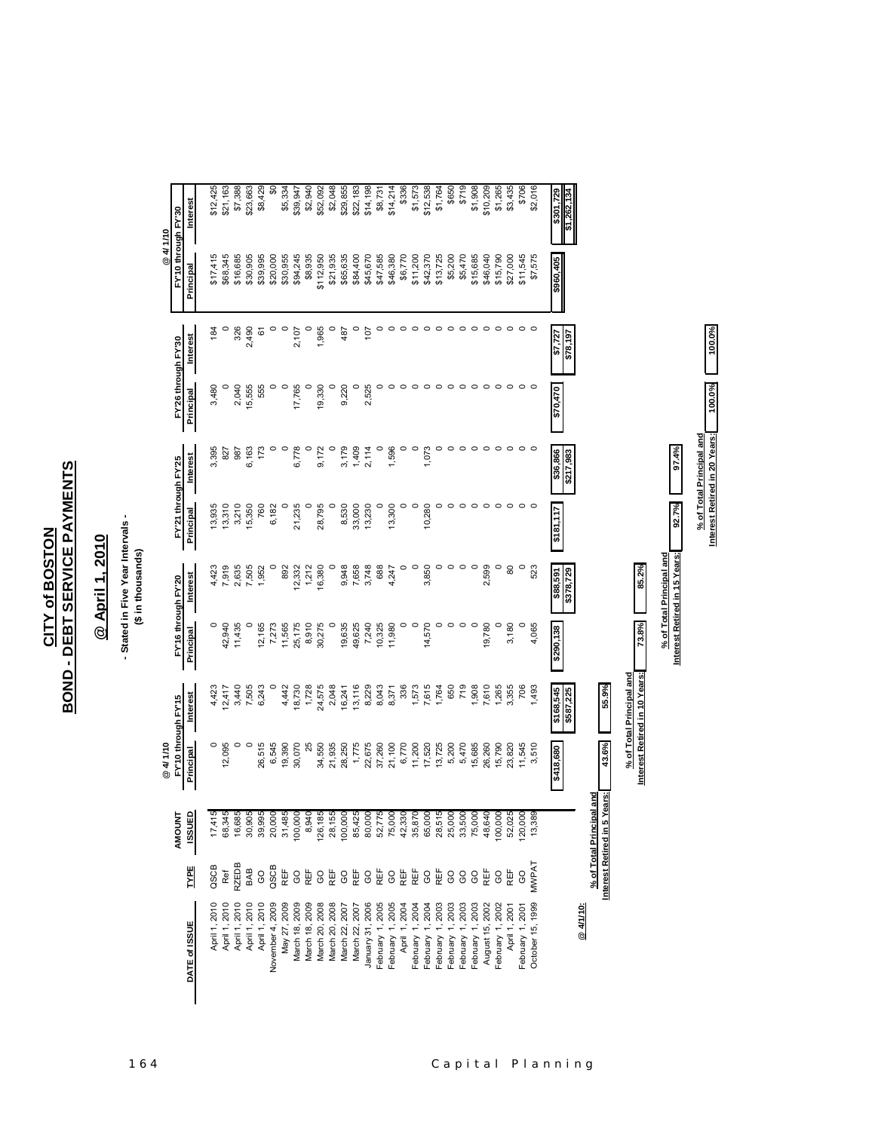## **BOND - DEBT SERVICE PAYMENTS BOND - DEBT SERVICE PAYMENTS CITY of BOSTON CITY of BOSTON**

## @ April 1, 2010 **@ April 1, 2010**

## - Stated in Five Year Intervals -<br>(\$ in thousands) **- Stated in Five Year Intervals - (\$ in thousands)**

|                  |                |                                      | @4/1/10             |                                                           |                     |                                  |                     |                       |                     |           | @4/1/10             |                            |
|------------------|----------------|--------------------------------------|---------------------|-----------------------------------------------------------|---------------------|----------------------------------|---------------------|-----------------------|---------------------|-----------|---------------------|----------------------------|
|                  |                | <b>AMOUNT</b>                        | FY'10 through FY'15 |                                                           | FY'16 through FY'20 |                                  | FY'21 through FY'25 |                       | FY'26 through FY'30 |           | FY'10 through FY'30 |                            |
| DATE of ISSUE    | <b>TYPE</b>    | 6<br><b>ISSU</b>                     | Principal           | Interest                                                  | Principal           | <b>Interest</b>                  | Principal           | Interest              | Principal           | Interest  | Principal           | Interest                   |
| April 1, 2010    | QSCB           | 17,415                               | $\circ$             | 4,423                                                     |                     | 4,423                            | 13,935              | 3,395                 | 3,480               | 184       | \$17,415            | \$12,425                   |
| April 1, 2010    | Ref            | 68,345                               | 12,095              | 2,417                                                     | 42,940              |                                  | 13,310              | 827                   |                     |           | \$68,345            | \$21,163                   |
| April 1, 2010    | <b>ZEDB</b>    | 16,685                               |                     | 3,440                                                     | 11,435              | 7,919<br>2,635<br>7,505<br>7,952 | 3,210               | 987                   | 2,040               | 326       | \$16,685            | \$7,388                    |
| April 1, 2010    | BAB            | 30,905<br>39,995                     | $\circ$             | 7,505                                                     |                     |                                  | 15,350              | 6,163                 | 15,555              | 2,490     | \$30,905            | \$23,663                   |
| April 1, 2010    | GO             |                                      | 26,515              | 6,243                                                     | 12,165              |                                  | 760                 | 173                   | 555                 | <u>စ်</u> | \$39,995            | \$8,429                    |
| November 4, 2009 | QSCB           | 20,000                               | 6,545               |                                                           | 7,273               |                                  | 6,182               |                       |                     |           | \$20,000            | $\boldsymbol{\mathsf{50}}$ |
| May 27, 2009     | REF            | 31,485                               | 19,390              | 4,442                                                     | 11,565              | 892                              |                     |                       |                     |           | \$30,955            | \$5,334                    |
| March 18, 2009   | GO             | 100,000                              | 30,070              | 18,730                                                    | 25,175              | 12,332                           | 21,235              | 6,778                 | 17,765              | 2,107     | \$94,245            | \$39,947                   |
| March 18, 2009   | REF            | 8,940                                |                     | 1,728                                                     | 8,910               | 1,212                            |                     |                       |                     |           | \$8,935             | \$2,940                    |
| March 20, 2008   | GO             | 126,185                              | 34,550              | 24,575                                                    | 30,275              | 16,380                           | 28,795              | 9,172                 | 19,330              | 1,965     | \$112,950           | \$52,092                   |
| March 20, 2008   | REF            | 28,155                               | 21,935              | 2,048                                                     |                     |                                  |                     |                       |                     |           | \$21,935            | \$2,048                    |
| March 22, 2007   | $\rm ^{\rm o}$ | 100,000                              | 28,250              | 16,241                                                    | 19,635              | 9,948                            | 8,530               | 3,179                 | 9,220               | 487       | \$65,635            | \$29,855                   |
| March 22, 2007   | REF            | 85,425                               | 1,775               | 13,116                                                    | 49,625              | 7,658<br>3,748                   | 33,000              | 1,409                 | $\circ$             | $\circ$   | \$84,400            | \$22,183                   |
| January 31, 2006 | GO<br>REF      | 80,000<br>52,775<br>75,000<br>42,330 | 22,675              | 8,229<br>8,043<br>8,371                                   | 7,240               |                                  | 13,230              | 2,114                 | 2,525               | 107       | \$45,670            | \$14,198                   |
| February 1, 2005 |                |                                      | 37,260              |                                                           | 10,325              | 688                              |                     |                       |                     |           | \$47,585            | \$8,731                    |
| February 1, 2005 | $_{\rm CO}$    |                                      | 21,100              |                                                           | 11,980              | 4,247                            | 13,300              | 1,596                 |                     |           | \$46,380            | \$14,214                   |
| April 1, 2004    | REF<br>REF     |                                      | 6,770               | 336                                                       | $\circ$             |                                  |                     |                       |                     |           | \$6,770             | \$336                      |
| February 1, 2004 |                |                                      | 11,200              | 1,573<br>7,615                                            | $\circ$             |                                  | $\circ$             |                       |                     |           | \$11,200            | \$1,573                    |
| February 1, 2004 | GO             |                                      | 17,520              |                                                           | 14,570              | 3,850                            | 10,280              | 1,073                 |                     |           | \$42,370            | \$12,538                   |
| February 1, 2003 | REF            | 35,870<br>65,000<br>28,515           | 13,725              | 1,764                                                     | $\circ$             |                                  |                     |                       |                     |           | \$13,725            | \$1,764                    |
| February 1, 2003 | $_{\rm GO}$    | 25,000<br>33,500<br>75,000           | 5,200               | 650                                                       | $\circ$             |                                  |                     |                       |                     |           | \$5,200             | \$650                      |
| February 1, 2003 | <b>GO</b>      |                                      | 5,470               | 719                                                       | $\circ$             |                                  |                     |                       |                     |           | \$5,470             | \$719                      |
| February 1, 2003 | GO             |                                      | 15,685              | 1,908                                                     | $\circ$             |                                  | $\circ$             |                       |                     |           | \$15,685            | \$1,908                    |
| August 15, 2002  | REF            | 48,640                               | 26,260              | 7,610                                                     | 19,780              | 2,599                            |                     |                       |                     |           | \$46,040            | \$10,209                   |
| February 1, 2002 | <b>GO</b>      | 100,000                              | 15,790              | 1,265                                                     |                     |                                  |                     |                       |                     |           | \$15,790            | \$1,265                    |
| April 1, 2001    | REF            | 52,025                               | 23,820              | 3,355                                                     | 3,180               | 80                               |                     |                       |                     |           | \$27,000            | \$3,435                    |
| February 1, 2001 | GO             | 120,000                              | 11,545              | 706                                                       |                     |                                  |                     |                       |                     |           | \$11,545            | \$706                      |
| October 15, 1999 | MWPAT          | 13,389                               | 3,510               | 1,493                                                     | 4,065               | 523                              |                     |                       |                     |           | \$7,575             | \$2,016                    |
|                  |                |                                      | 089'817\$           | \$168,545<br>\$587,225                                    | \$290,138           | \$88,591                         | 2181,117            | \$36,866<br>\$217,983 | 0/1/0/3             | \$7,727   | \$960,405           | \$301,729                  |
| @ 4/1/10:        |                |                                      |                     |                                                           |                     | \$378,729                        |                     |                       |                     | 261,878   |                     | \$1,262,134                |
|                  |                | % of Total Principal and             |                     |                                                           |                     |                                  |                     |                       |                     |           |                     |                            |
|                  |                | Interest Retired in 5 Years:         | 43.6%               | 55.9%                                                     |                     |                                  |                     |                       |                     |           |                     |                            |
|                  |                |                                      |                     | Interest Retired in 10 Years:<br>% of Total Principal and | 73.8%               | 85.2%                            |                     |                       |                     |           |                     |                            |
|                  |                |                                      |                     |                                                           |                     | % of Total Principal and         |                     |                       |                     |           |                     |                            |
|                  |                |                                      |                     |                                                           |                     | Interest Retired in 15 Years:    | 92.7%               | 97.4%                 |                     |           |                     |                            |

**% of Total Principal and**

% of Total Principal and<br>Interest Retired in 20 Years:

**Interest Retired in 20 Years: 100.0% 100.0%**

100.0%

100.0%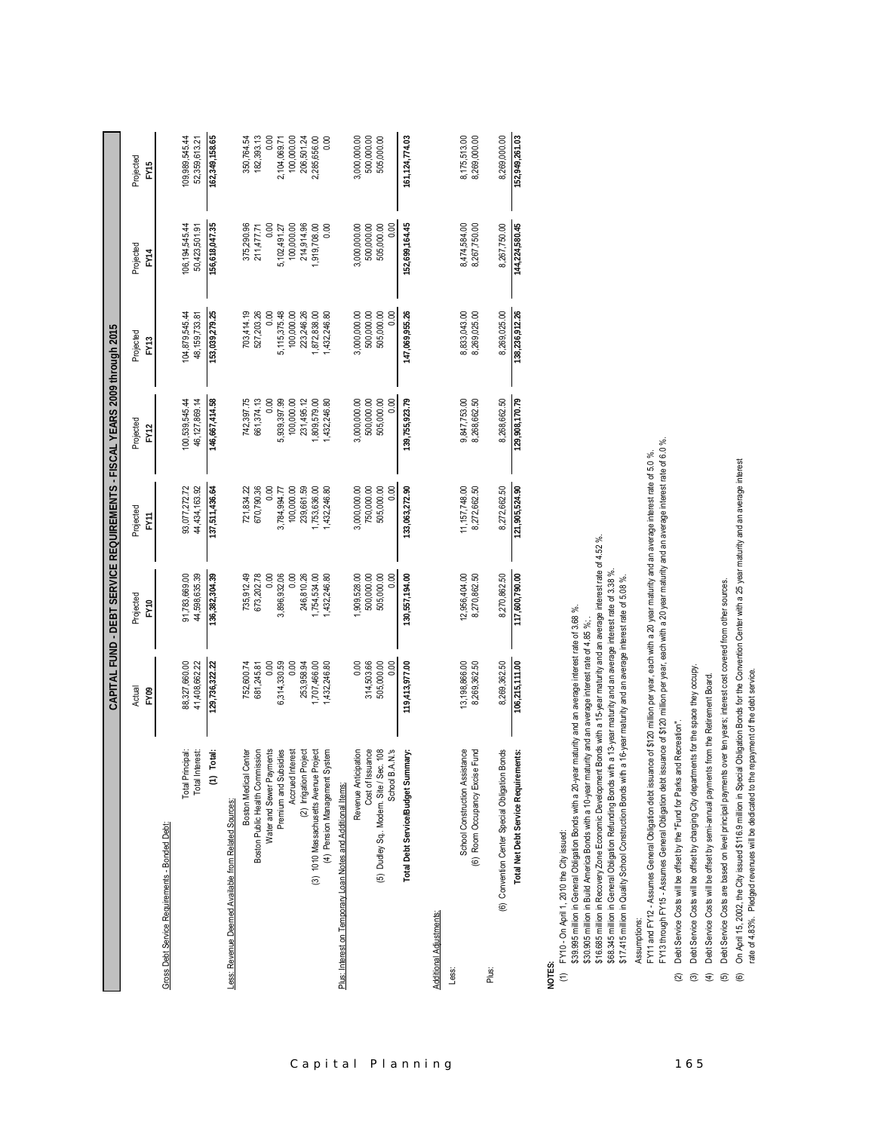|                                                                  |                                | CAPITAL FUND - DEBT SERVICE REQUIREMENTS - FISCAL YEARS 2009 through 2015 |                                 |                                 |                                |                                |                                 |
|------------------------------------------------------------------|--------------------------------|---------------------------------------------------------------------------|---------------------------------|---------------------------------|--------------------------------|--------------------------------|---------------------------------|
|                                                                  | Actual<br>FY09                 | Projected<br>FY10                                                         | Projected<br><b>FY11</b>        | Projected<br>FY <sub>12</sub>   | Projected<br>FY <sub>13</sub>  | Projected<br>FY14              | Projected<br>FY15               |
| Gross Debt Service Requirements - Bonded Debt:                   |                                |                                                                           |                                 |                                 |                                |                                |                                 |
| Total Principal:<br>nterest:<br>Total In                         | 88,327,660.00<br>41,408,662.22 | 91,783,669.00<br>44,598,635.39                                            | 93,077,272.72<br>44,434,163.92  | 100,539,545.44<br>46.127.869.14 | 04,879,545.44<br>48.159.733.81 | 06,194,545.44<br>50,423,501.91 | 109,989,545.44<br>52,359,613.21 |
| Total:<br>$\widehat{z}$                                          | 129,736,322.22                 | 136,382,304.39                                                            | 137,511,436.64                  | 146,667,414.58                  | 153,039,279.25                 | 156,618,047.35                 | 162,349,158.65                  |
| Less: Revenue Deemed Available from Related Sources:             |                                |                                                                           |                                 |                                 |                                |                                |                                 |
| Boston Medical Center                                            | 752,600.74                     | 735,912.49                                                                | 721,834.22                      | 742,397.75                      | 703,414.19                     | 375,290.96                     | 350,764.54                      |
| Boston Public Health Commission                                  | 681,245.81                     | 673,202.78                                                                | 670,790.36                      | 661,374.13                      | 527,203.26                     | 211,477.71                     | 182,393.13                      |
| Water and Sewer Payments                                         | 0.00                           | 0.00                                                                      | 0.00                            | 0.00                            | 0.00                           | 0.00                           | 0.00                            |
| Premium and Subsidies                                            | 6,314,330.59                   | 3,896,932.06                                                              | 3,784,994.77                    | 5,939,397.99                    | 5,115,375.48                   | 5,102,491.27                   | 2,104,069.71                    |
| Accrued Interest                                                 | 0.00                           | 0.00                                                                      | 100,000.00                      | 100,000.00                      | 100,000.00                     | 100,000.00                     | 100,000.00                      |
| (2) Irrigation Project                                           | 253,958.94                     | 246,810.26                                                                | 239,661.59                      | 231,495.12                      | 223,246.26                     | 214,914.96                     | 206,501.24                      |
| Project<br>(3) 1010 Massachusetts Avenue                         | ,707,466.00                    | 1,754,534.00                                                              | ,753,636.00                     | 809,579.00                      | 872,838.00                     | 919,708.00                     | 2,285,656.00                    |
| (4) Pension Management System                                    | 432,246.80                     | 1,432,246.80                                                              | ,432,246.80                     | ,432,246.80                     | ,432,246.80                    | 0.00                           | 0.00                            |
| Plus: Interest on Temporary Loan Notes and Additional Items:     |                                |                                                                           |                                 |                                 |                                |                                |                                 |
| Revenue Anticipation                                             | 0.00                           | 1,909,528.00                                                              | 3,000,000.00                    | 3,000,000.00                    | 3,000,000.00                   | 3,000,000.00                   | 3,000,000.00                    |
| Cost of Issuance                                                 | 314,503.66                     | 500,000.00                                                                | 750,000.00                      | 500,000.00                      | 500,000.00                     | 500,000.00                     | 500,000.00                      |
| School B.A.N.'s<br>(5) Dudley Sq Modern. Site / Sec. 108         | 0.00<br>505,000.00             | 505,000.00<br>0.00                                                        | 505,000.00<br>$\frac{8}{2}$     | 505,000.00<br>0.00              | 505,000.00<br>0.00             | 505,000.00<br>0.00             | 505,000.00                      |
| nmary:<br>Total Debt Service/Budget Sur                          | 119,413,977.00                 | 130,557,194.00                                                            | 133,063,272.90                  | 139,755,923.79                  | 147,069,955.26                 | 152,699,164.45                 | 161.124.774.03                  |
| <b>Additional Adjustments:</b>                                   |                                |                                                                           |                                 |                                 |                                |                                |                                 |
| Less:                                                            |                                |                                                                           |                                 |                                 |                                |                                |                                 |
| School Construction Assistance<br>(6) Room Occupancy Excise Fund | 13,198,866.00<br>8,269,362.50  | 12,956,404.00<br>8,270,862.50                                             | 11, 157, 748.00<br>8,272,662.50 | 9,847,753.00<br>8,268,662.50    | 8,833,043.00<br>8,269,025.00   | 8,474,584.00<br>8,267,750.00   | 8,175,513.00<br>8,269,000.00    |
| Plus:                                                            |                                |                                                                           |                                 |                                 |                                |                                |                                 |
| <b>Bonds</b><br>(6) Convention Center Special Obligation         | 8,269,362.50                   | 8,270,862.50                                                              | 8,272,662.50                    | 8,268,662.50                    | 8,269,025.00                   | 8,267,750.00                   | 8,269,000.00                    |
| Total Net Debt Service Requirements:                             | 106,215,111.00                 | 117,600,790.00                                                            | 121,905,524.90                  | 129,908,170.79                  | 138.236.912.26                 | 144.224.580.45                 | 152.949.261.03                  |

# **NOTES:**

(1) FY10 - On April 1, 2010 the City issued: (1) FY10 - On April 1, 2010 the City issued:

\$30.905 million in Build America Bonds with a 10-year maturity and an average interest rate of 4.85 %; .<br>\$16.685 million in Recovery Zone Economic Development Bonds with a 15-year maturity and an average interest rate of \$16.685 million in Recovery Zone Economic Development Bonds with a 15-year maturity and an average interest rate of 4.52 %. \$68.345 million in General Obligation Refunding Bonds with a 13-year maturity and an average interest rate of 3.38 %.<br>\$17.415 million in Quality School Construction Bonds with a 16-year maturity and an average interest ra \$68.345 million in General Obligation Refunding Bonds with a 13-year maturity and an average interest rate of 3.38 %. \$17.415 million in Quality School Construction Bonds with a 16-year maturity and an average interest rate of 5.08 %. \$39.995 million in General Obligation Bonds with a 20-year maturity and an average interest rate of 3.68 %. \$39.995 million in General Obligation Bonds with a 20-year maturity and an average interest rate of 3.68 %. \$30.905 million in Build America Bonds with a 10-year maturity and an average interest rate of 4.85 %; .

Assumptions: Assumptions:

FY11 and FY12 - Assumes General Obligation debt issuance of \$120 million per year, each with a 20 year maturity and an average interest rate of 5.0 %.<br>FY13 through FY15 - Assumes General Obligation debt issuance of \$120 mi FY13 through FY15 - Assumes General Obligation debt issuance of \$120 million per year, each with a 20 year maturity and an average interest rate of 6.0 %. FY11 and FY12 - Assumes General Obligation debt issuance of \$120 million per year, each with a 20 year maturity and an average interest rate of 5.0 %. Debt Service Costs will be offset by the "Fund for Parks and Recreation". (2) Debt Service Costs will be offset by the "Fund for Parks and Recreation".

- 
- Debt Service Costs will be offset by charging City departments for the space they occupy. (3) Debt Service Costs will be offset by charging City departments for the space they occupy.
	- Debt Service Costs will be offset by semi-annual payments from the Retirement Board. (4) Debt Service Costs will be offset by semi-annual payments from the Retirement Board.
- Debt Service Costs are based on level principal payments over ten years; interest cost covered from other sources. (5) Debt Service Costs are based on level principal payments over ten years; interest cost covered from other sources.  $\begin{array}{ccc} \mathbf{0} & \mathbf{0} & \mathbf{0} & \mathbf{0} & \mathbf{0} \end{array}$
- On April 15, 2002, the City issued \$116.9 million in Special Obligation Bonds for the Convention Center with a 25 year maturity and an average interest (6) On April 15, 2002, the City issued \$116.9 million in Special Obligation Bonds for the Convention Center with a 25 year maturity and an average interest rate of 4.83%. Pledged revenues will be dedicated to the repayment of the debt service. rate of 4.83%. Pledged revenues will be dedicated to the repayment of the debt service.